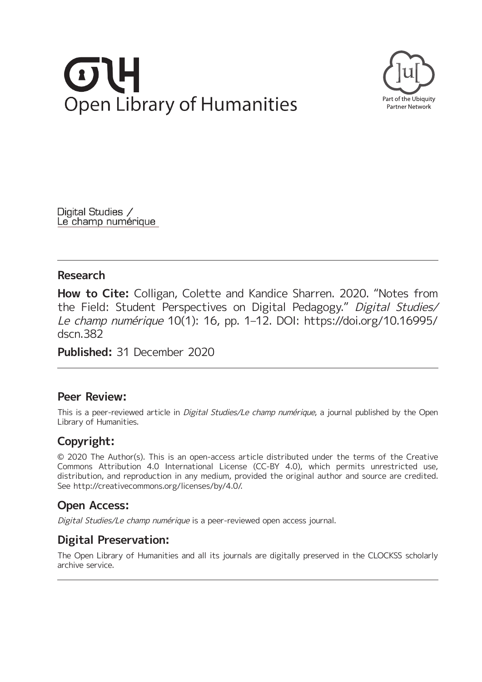# **Open Library of Humanities**



Digital Studies / Le champ numérique

## **Research**

**How to Cite:** Colligan, Colette and Kandice Sharren. 2020. "Notes from the Field: Student Perspectives on Digital Pedagogy." Digital Studies/ Le champ numérique 10(1): 16, pp. 1–12. DOI: [https://doi.org/10.16995/](https://doi.org/10.16995/dscn.382) [dscn.382](https://doi.org/10.16995/dscn.382)

**Published:** 31 December 2020

# **Peer Review:**

This is a peer-reviewed article in *Digital Studies/Le champ numérique*, a journal published by the Open Library of Humanities.

# **Copyright:**

© 2020 The Author(s). This is an open-access article distributed under the terms of the Creative Commons Attribution 4.0 International License (CC-BY 4.0), which permits unrestricted use, distribution, and reproduction in any medium, provided the original author and source are credited. See [http://creativecommons.org/licenses/by/4.0/.](http://creativecommons.org/licenses/by/4.0/)

# **Open Access:**

Digital Studies/Le champ numérique is a peer-reviewed open access journal.

# **Digital Preservation:**

The Open Library of Humanities and all its journals are digitally preserved in the CLOCKSS scholarly archive service.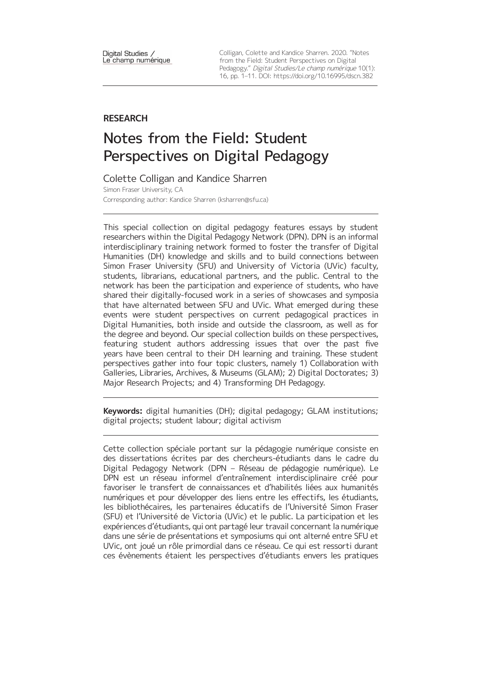Digital Studies / Le champ numérique Colligan, Colette and Kandice Sharren. 2020. "Notes from the Field: Student Perspectives on Digital Pedagogy." Digital Studies/Le champ numérique 10(1): 16, pp. 1–11. DOI:<https://doi.org/10.16995/dscn.382>

### **RESEARCH**

# Notes from the Field: Student Perspectives on Digital Pedagogy

Colette Colligan and Kandice Sharren Simon Fraser University, CA Corresponding author: Kandice Sharren ([ksharren@sfu.ca\)](mailto:ksharren@sfu.ca)

This special collection on digital pedagogy features essays by student researchers within the Digital Pedagogy Network (DPN). DPN is an informal interdisciplinary training network formed to foster the transfer of Digital Humanities (DH) knowledge and skills and to build connections between Simon Fraser University (SFU) and University of Victoria (UVic) faculty, students, librarians, educational partners, and the public. Central to the network has been the participation and experience of students, who have shared their digitally-focused work in a series of showcases and symposia that have alternated between SFU and UVic. What emerged during these events were student perspectives on current pedagogical practices in Digital Humanities, both inside and outside the classroom, as well as for the degree and beyond. Our special collection builds on these perspectives, featuring student authors addressing issues that over the past five years have been central to their DH learning and training. These student perspectives gather into four topic clusters, namely 1) Collaboration with Galleries, Libraries, Archives, & Museums (GLAM); 2) Digital Doctorates; 3) Major Research Projects; and 4) Transforming DH Pedagogy.

**Keywords:** digital humanities (DH); digital pedagogy; GLAM institutions; digital projects; student labour; digital activism

Cette collection spéciale portant sur la pédagogie numérique consiste en des dissertations écrites par des chercheurs-étudiants dans le cadre du Digital Pedagogy Network (DPN – Réseau de pédagogie numérique). Le DPN est un réseau informel d'entraînement interdisciplinaire créé pour favoriser le transfert de connaissances et d'habilités liées aux humanités numériques et pour développer des liens entre les effectifs, les étudiants, les bibliothécaires, les partenaires éducatifs de l'Université Simon Fraser (SFU) et l'Université de Victoria (UVic) et le public. La participation et les expériences d'étudiants, qui ont partagé leur travail concernant la numérique dans une série de présentations et symposiums qui ont alterné entre SFU et UVic, ont joué un rôle primordial dans ce réseau. Ce qui est ressorti durant ces évènements étaient les perspectives d'étudiants envers les pratiques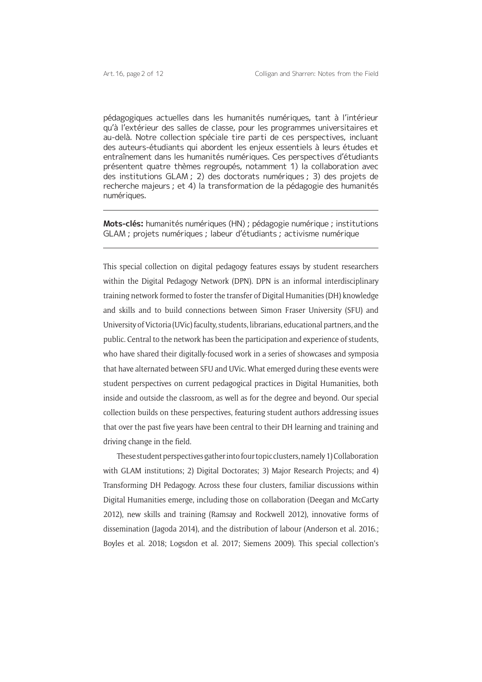pédagogiques actuelles dans les humanités numériques, tant à l'intérieur qu'à l'extérieur des salles de classe, pour les programmes universitaires et au-delà. Notre collection spéciale tire parti de ces perspectives, incluant des auteurs-étudiants qui abordent les enjeux essentiels à leurs études et entraînement dans les humanités numériques. Ces perspectives d'étudiants présentent quatre thèmes regroupés, notamment 1) la collaboration avec des institutions GLAM ; 2) des doctorats numériques ; 3) des projets de recherche majeurs ; et 4) la transformation de la pédagogie des humanités numériques.

**Mots-clés:** humanités numériques (HN) ; pédagogie numérique ; institutions GLAM ; projets numériques ; labeur d'étudiants ; activisme numérique

This special collection on digital pedagogy features essays by student researchers within the Digital Pedagogy Network (DPN). DPN is an informal interdisciplinary training network formed to foster the transfer of Digital Humanities (DH) knowledge and skills and to build connections between Simon Fraser University (SFU) and University of Victoria (UVic) faculty, students, librarians, educational partners, and the public. Central to the network has been the participation and experience of students, who have shared their digitally-focused work in a series of showcases and symposia that have alternated between SFU and UVic. What emerged during these events were student perspectives on current pedagogical practices in Digital Humanities, both inside and outside the classroom, as well as for the degree and beyond. Our special collection builds on these perspectives, featuring student authors addressing issues that over the past five years have been central to their DH learning and training and driving change in the field.

These student perspectives gather into four topic clusters, namely 1) Collaboration with GLAM institutions; 2) Digital Doctorates; 3) Major Research Projects; and 4) Transforming DH Pedagogy. Across these four clusters, familiar discussions within Digital Humanities emerge, including those on collaboration (Deegan and McCarty 2012), new skills and training (Ramsay and Rockwell 2012), innovative forms of dissemination (Jagoda 2014), and the distribution of labour (Anderson et al. 2016.; Boyles et al. 2018; Logsdon et al. 2017; Siemens 2009). This special collection's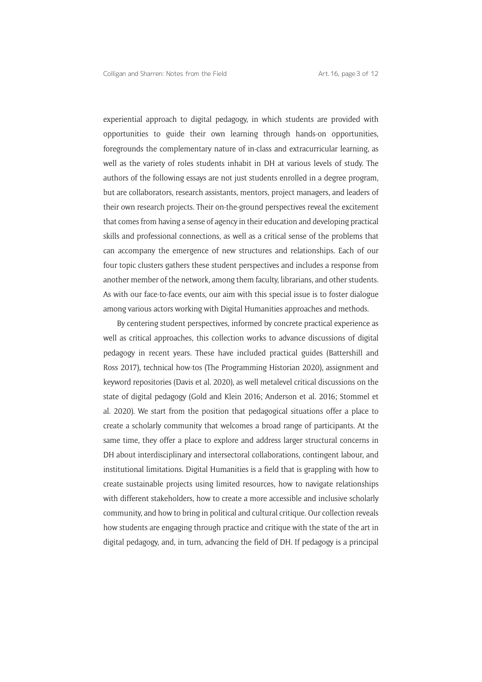experiential approach to digital pedagogy, in which students are provided with opportunities to guide their own learning through hands-on opportunities, foregrounds the complementary nature of in-class and extracurricular learning, as well as the variety of roles students inhabit in DH at various levels of study. The authors of the following essays are not just students enrolled in a degree program, but are collaborators, research assistants, mentors, project managers, and leaders of their own research projects. Their on-the-ground perspectives reveal the excitement that comes from having a sense of agency in their education and developing practical skills and professional connections, as well as a critical sense of the problems that can accompany the emergence of new structures and relationships. Each of our four topic clusters gathers these student perspectives and includes a response from another member of the network, among them faculty, librarians, and other students. As with our face-to-face events, our aim with this special issue is to foster dialogue among various actors working with Digital Humanities approaches and methods.

By centering student perspectives, informed by concrete practical experience as well as critical approaches, this collection works to advance discussions of digital pedagogy in recent years. These have included practical guides (Battershill and Ross 2017), technical how-tos (The Programming Historian 2020), assignment and keyword repositories (Davis et al. 2020), as well metalevel critical discussions on the state of digital pedagogy (Gold and Klein 2016; Anderson et al. 2016; Stommel et al. 2020). We start from the position that pedagogical situations offer a place to create a scholarly community that welcomes a broad range of participants. At the same time, they offer a place to explore and address larger structural concerns in DH about interdisciplinary and intersectoral collaborations, contingent labour, and institutional limitations. Digital Humanities is a field that is grappling with how to create sustainable projects using limited resources, how to navigate relationships with different stakeholders, how to create a more accessible and inclusive scholarly community, and how to bring in political and cultural critique. Our collection reveals how students are engaging through practice and critique with the state of the art in digital pedagogy, and, in turn, advancing the field of DH. If pedagogy is a principal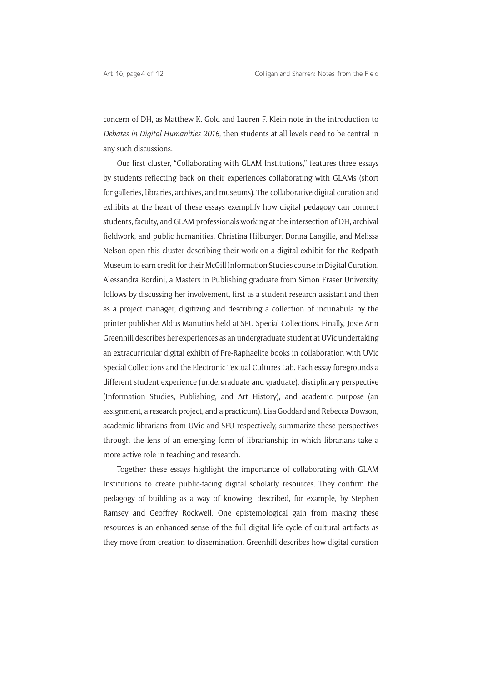concern of DH, as Matthew K. Gold and Lauren F. Klein note in the introduction to *Debates in Digital Humanities 2016*, then students at all levels need to be central in any such discussions.

Our first cluster, "Collaborating with GLAM Institutions," features three essays by students reflecting back on their experiences collaborating with GLAMs (short for galleries, libraries, archives, and museums). The collaborative digital curation and exhibits at the heart of these essays exemplify how digital pedagogy can connect students, faculty, and GLAM professionals working at the intersection of DH, archival fieldwork, and public humanities. Christina Hilburger, Donna Langille, and Melissa Nelson open this cluster describing their work on a digital exhibit for the Redpath Museum to earn credit for their McGill Information Studies course in Digital Curation. Alessandra Bordini, a Masters in Publishing graduate from Simon Fraser University, follows by discussing her involvement, first as a student research assistant and then as a project manager, digitizing and describing a collection of incunabula by the printer-publisher Aldus Manutius held at SFU Special Collections. Finally, Josie Ann Greenhill describes her experiences as an undergraduate student at UVic undertaking an extracurricular digital exhibit of Pre-Raphaelite books in collaboration with UVic Special Collections and the Electronic Textual Cultures Lab. Each essay foregrounds a different student experience (undergraduate and graduate), disciplinary perspective (Information Studies, Publishing, and Art History), and academic purpose (an assignment, a research project, and a practicum). Lisa Goddard and Rebecca Dowson, academic librarians from UVic and SFU respectively, summarize these perspectives through the lens of an emerging form of librarianship in which librarians take a more active role in teaching and research.

Together these essays highlight the importance of collaborating with GLAM Institutions to create public-facing digital scholarly resources. They confirm the pedagogy of building as a way of knowing, described, for example, by Stephen Ramsey and Geoffrey Rockwell. One epistemological gain from making these resources is an enhanced sense of the full digital life cycle of cultural artifacts as they move from creation to dissemination. Greenhill describes how digital curation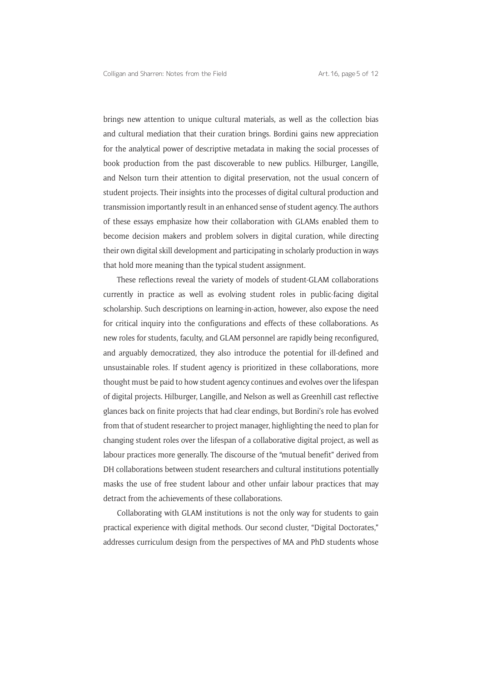brings new attention to unique cultural materials, as well as the collection bias and cultural mediation that their curation brings. Bordini gains new appreciation for the analytical power of descriptive metadata in making the social processes of book production from the past discoverable to new publics. Hilburger, Langille, and Nelson turn their attention to digital preservation, not the usual concern of student projects. Their insights into the processes of digital cultural production and transmission importantly result in an enhanced sense of student agency. The authors of these essays emphasize how their collaboration with GLAMs enabled them to become decision makers and problem solvers in digital curation, while directing their own digital skill development and participating in scholarly production in ways that hold more meaning than the typical student assignment.

These reflections reveal the variety of models of student-GLAM collaborations currently in practice as well as evolving student roles in public-facing digital scholarship. Such descriptions on learning-in-action, however, also expose the need for critical inquiry into the configurations and effects of these collaborations. As new roles for students, faculty, and GLAM personnel are rapidly being reconfigured, and arguably democratized, they also introduce the potential for ill-defined and unsustainable roles. If student agency is prioritized in these collaborations, more thought must be paid to how student agency continues and evolves over the lifespan of digital projects. Hilburger, Langille, and Nelson as well as Greenhill cast reflective glances back on finite projects that had clear endings, but Bordini's role has evolved from that of student researcher to project manager, highlighting the need to plan for changing student roles over the lifespan of a collaborative digital project, as well as labour practices more generally. The discourse of the "mutual benefit" derived from DH collaborations between student researchers and cultural institutions potentially masks the use of free student labour and other unfair labour practices that may detract from the achievements of these collaborations.

Collaborating with GLAM institutions is not the only way for students to gain practical experience with digital methods. Our second cluster, "Digital Doctorates," addresses curriculum design from the perspectives of MA and PhD students whose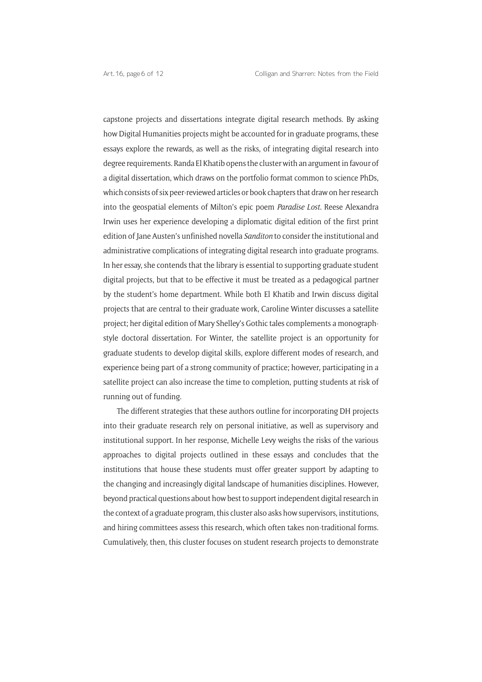capstone projects and dissertations integrate digital research methods. By asking how Digital Humanities projects might be accounted for in graduate programs, these essays explore the rewards, as well as the risks, of integrating digital research into degree requirements. Randa El Khatib opens the cluster with an argument in favour of a digital dissertation, which draws on the portfolio format common to science PhDs, which consists of six peer-reviewed articles or book chapters that draw on her research into the geospatial elements of Milton's epic poem *Paradise Lost*. Reese Alexandra Irwin uses her experience developing a diplomatic digital edition of the first print edition of Jane Austen's unfinished novella *Sanditon* to consider the institutional and administrative complications of integrating digital research into graduate programs. In her essay, she contends that the library is essential to supporting graduate student digital projects, but that to be effective it must be treated as a pedagogical partner by the student's home department. While both El Khatib and Irwin discuss digital projects that are central to their graduate work, Caroline Winter discusses a satellite project; her digital edition of Mary Shelley's Gothic tales complements a monographstyle doctoral dissertation. For Winter, the satellite project is an opportunity for graduate students to develop digital skills, explore different modes of research, and experience being part of a strong community of practice; however, participating in a satellite project can also increase the time to completion, putting students at risk of running out of funding.

The different strategies that these authors outline for incorporating DH projects into their graduate research rely on personal initiative, as well as supervisory and institutional support. In her response, Michelle Levy weighs the risks of the various approaches to digital projects outlined in these essays and concludes that the institutions that house these students must offer greater support by adapting to the changing and increasingly digital landscape of humanities disciplines. However, beyond practical questions about how best to support independent digital research in the context of a graduate program, this cluster also asks how supervisors, institutions, and hiring committees assess this research, which often takes non-traditional forms. Cumulatively, then, this cluster focuses on student research projects to demonstrate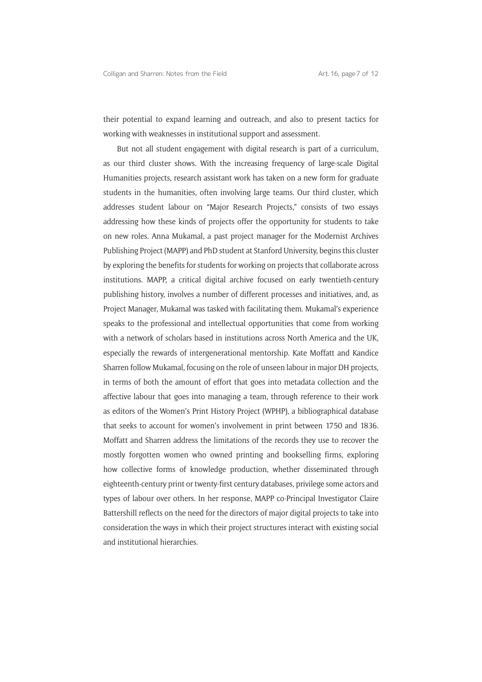their potential to expand learning and outreach, and also to present tactics for working with weaknesses in institutional support and assessment.

But not all student engagement with digital research is part of a curriculum, as our third cluster shows. With the increasing frequency of large-scale Digital Humanities projects, research assistant work has taken on a new form for graduate students in the humanities, often involving large teams. Our third cluster, which addresses student labour on "Major Research Projects," consists of two essays addressing how these kinds of projects offer the opportunity for students to take on new roles. Anna Mukamal, a past project manager for the Modernist Archives Publishing Project (MAPP) and PhD student at Stanford University, begins this cluster by exploring the benefits for students for working on projects that collaborate across institutions. MAPP, a critical digital archive focused on early twentieth-century publishing history, involves a number of different processes and initiatives, and, as Project Manager, Mukamal was tasked with facilitating them. Mukamal's experience speaks to the professional and intellectual opportunities that come from working with a network of scholars based in institutions across North America and the UK, especially the rewards of intergenerational mentorship. Kate Moffatt and Kandice Sharren follow Mukamal, focusing on the role of unseen labour in major DH projects, in terms of both the amount of effort that goes into metadata collection and the affective labour that goes into managing a team, through reference to their work as editors of the Women's Print History Project (WPHP), a bibliographical database that seeks to account for women's involvement in print between 1750 and 1836. Moffatt and Sharren address the limitations of the records they use to recover the mostly forgotten women who owned printing and bookselling firms, exploring how collective forms of knowledge production, whether disseminated through eighteenth-century print or twenty-first century databases, privilege some actors and types of labour over others. In her response, MAPP co-Principal Investigator Claire Battershill reflects on the need for the directors of major digital projects to take into consideration the ways in which their project structures interact with existing social and institutional hierarchies.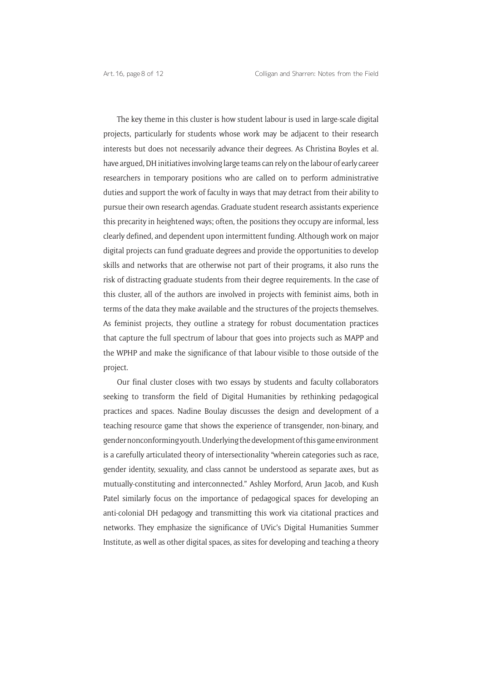The key theme in this cluster is how student labour is used in large-scale digital projects, particularly for students whose work may be adjacent to their research interests but does not necessarily advance their degrees. As Christina Boyles et al. have argued, DH initiatives involving large teams can rely on the labour of early career researchers in temporary positions who are called on to perform administrative duties and support the work of faculty in ways that may detract from their ability to pursue their own research agendas. Graduate student research assistants experience this precarity in heightened ways; often, the positions they occupy are informal, less clearly defined, and dependent upon intermittent funding. Although work on major digital projects can fund graduate degrees and provide the opportunities to develop skills and networks that are otherwise not part of their programs, it also runs the risk of distracting graduate students from their degree requirements. In the case of this cluster, all of the authors are involved in projects with feminist aims, both in terms of the data they make available and the structures of the projects themselves. As feminist projects, they outline a strategy for robust documentation practices that capture the full spectrum of labour that goes into projects such as MAPP and the WPHP and make the significance of that labour visible to those outside of the project.

Our final cluster closes with two essays by students and faculty collaborators seeking to transform the field of Digital Humanities by rethinking pedagogical practices and spaces. Nadine Boulay discusses the design and development of a teaching resource game that shows the experience of transgender, non-binary, and gender nonconforming youth. Underlying the development of this game environment is a carefully articulated theory of intersectionality "wherein categories such as race, gender identity, sexuality, and class cannot be understood as separate axes, but as mutually-constituting and interconnected." Ashley Morford, Arun Jacob, and Kush Patel similarly focus on the importance of pedagogical spaces for developing an anti-colonial DH pedagogy and transmitting this work via citational practices and networks. They emphasize the significance of UVic's Digital Humanities Summer Institute, as well as other digital spaces, as sites for developing and teaching a theory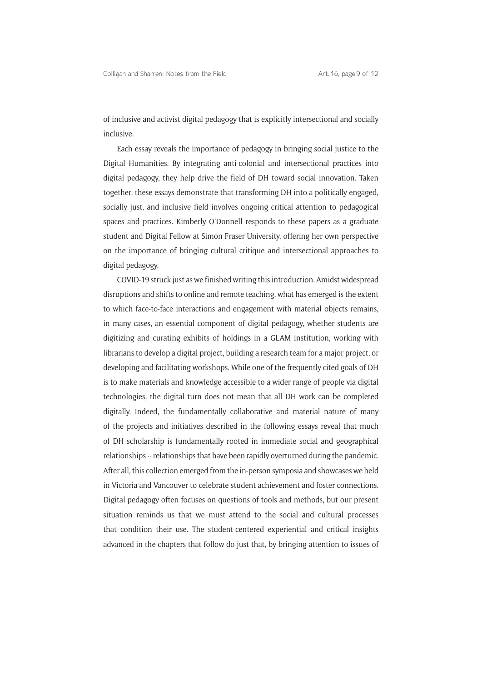of inclusive and activist digital pedagogy that is explicitly intersectional and socially inclusive.

Each essay reveals the importance of pedagogy in bringing social justice to the Digital Humanities. By integrating anti-colonial and intersectional practices into digital pedagogy, they help drive the field of DH toward social innovation. Taken together, these essays demonstrate that transforming DH into a politically engaged, socially just, and inclusive field involves ongoing critical attention to pedagogical spaces and practices. Kimberly O'Donnell responds to these papers as a graduate student and Digital Fellow at Simon Fraser University, offering her own perspective on the importance of bringing cultural critique and intersectional approaches to digital pedagogy.

COVID-19 struck just as we finished writing this introduction. Amidst widespread disruptions and shifts to online and remote teaching, what has emerged is the extent to which face-to-face interactions and engagement with material objects remains, in many cases, an essential component of digital pedagogy, whether students are digitizing and curating exhibits of holdings in a GLAM institution, working with librarians to develop a digital project, building a research team for a major project, or developing and facilitating workshops. While one of the frequently cited goals of DH is to make materials and knowledge accessible to a wider range of people via digital technologies, the digital turn does not mean that all DH work can be completed digitally. Indeed, the fundamentally collaborative and material nature of many of the projects and initiatives described in the following essays reveal that much of DH scholarship is fundamentally rooted in immediate social and geographical relationships -- relationships that have been rapidly overturned during the pandemic. After all, this collection emerged from the in-person symposia and showcases we held in Victoria and Vancouver to celebrate student achievement and foster connections. Digital pedagogy often focuses on questions of tools and methods, but our present situation reminds us that we must attend to the social and cultural processes that condition their use. The student-centered experiential and critical insights advanced in the chapters that follow do just that, by bringing attention to issues of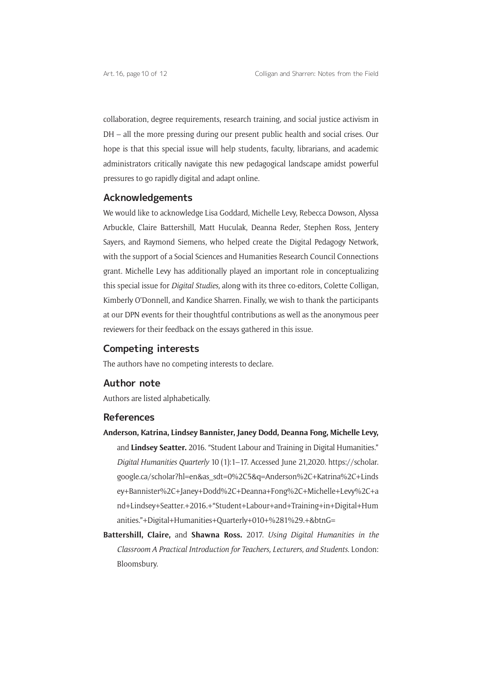collaboration, degree requirements, research training, and social justice activism in DH – all the more pressing during our present public health and social crises. Our hope is that this special issue will help students, faculty, librarians, and academic administrators critically navigate this new pedagogical landscape amidst powerful pressures to go rapidly digital and adapt online.

### **Acknowledgements**

We would like to acknowledge Lisa Goddard, Michelle Levy, Rebecca Dowson, Alyssa Arbuckle, Claire Battershill, Matt Huculak, Deanna Reder, Stephen Ross, Jentery Sayers, and Raymond Siemens, who helped create the Digital Pedagogy Network, with the support of a Social Sciences and Humanities Research Council Connections grant. Michelle Levy has additionally played an important role in conceptualizing this special issue for *Digital Studies,* along with its three co-editors, Colette Colligan, Kimberly O'Donnell, and Kandice Sharren. Finally, we wish to thank the participants at our DPN events for their thoughtful contributions as well as the anonymous peer reviewers for their feedback on the essays gathered in this issue.

### **Competing interests**

The authors have no competing interests to declare.

### **Author note**

Authors are listed alphabetically.

### **References**

- **Anderson, Katrina, Lindsey Bannister, Janey Dodd, Deanna Fong, Michelle Levy,** and **Lindsey Seatter.** 2016. "Student Labour and Training in Digital Humanities." *Digital Humanities Quarterly* 10 (1):1–17. Accessed June 21,2020. [https://scholar.](https://scholar.google.ca/scholar?hl=en&as_sdt=0%2C5&q=Anderson%2C+Katrina%2C+Lindsey+Bannister%2C+Janey+Dodd%2C+Deanna+Fong%2C+Michelle+Levy%2C+and+Lindsey+Seatter.+2016.+�Student+Labour+and+Training+in+Digital+Humanities.�+Digital+Humanities+Quarterly+010+%281%29.+&btnG=) [google.ca/scholar?hl=en&as\\_sdt=0%2C5&q=Anderson%2C+Katrina%2C+Linds](https://scholar.google.ca/scholar?hl=en&as_sdt=0%2C5&q=Anderson%2C+Katrina%2C+Lindsey+Bannister%2C+Janey+Dodd%2C+Deanna+Fong%2C+Michelle+Levy%2C+and+Lindsey+Seatter.+2016.+�Student+Labour+and+Training+in+Digital+Humanities.�+Digital+Humanities+Quarterly+010+%281%29.+&btnG=) [ey+Bannister%2C+Janey+Dodd%2C+Deanna+Fong%2C+Michelle+Levy%2C+a](https://scholar.google.ca/scholar?hl=en&as_sdt=0%2C5&q=Anderson%2C+Katrina%2C+Lindsey+Bannister%2C+Janey+Dodd%2C+Deanna+Fong%2C+Michelle+Levy%2C+and+Lindsey+Seatter.+2016.+�Student+Labour+and+Training+in+Digital+Humanities.�+Digital+Humanities+Quarterly+010+%281%29.+&btnG=) [nd+Lindsey+Seatter.+2016.+"Student+Labour+and+Training+in+Digital+Hum](https://scholar.google.ca/scholar?hl=en&as_sdt=0%2C5&q=Anderson%2C+Katrina%2C+Lindsey+Bannister%2C+Janey+Dodd%2C+Deanna+Fong%2C+Michelle+Levy%2C+and+Lindsey+Seatter.+2016.+�Student+Labour+and+Training+in+Digital+Humanities.�+Digital+Humanities+Quarterly+010+%281%29.+&btnG=) [anities."+Digital+Humanities+Quarterly+010+%281%29.+&btnG=](https://scholar.google.ca/scholar?hl=en&as_sdt=0%2C5&q=Anderson%2C+Katrina%2C+Lindsey+Bannister%2C+Janey+Dodd%2C+Deanna+Fong%2C+Michelle+Levy%2C+and+Lindsey+Seatter.+2016.+�Student+Labour+and+Training+in+Digital+Humanities.�+Digital+Humanities+Quarterly+010+%281%29.+&btnG=)
- **Battershill, Claire,** and **Shawna Ross.** 2017. *Using Digital Humanities in the Classroom A Practical Introduction for Teachers, Lecturers, and Students*. London: Bloomsbury.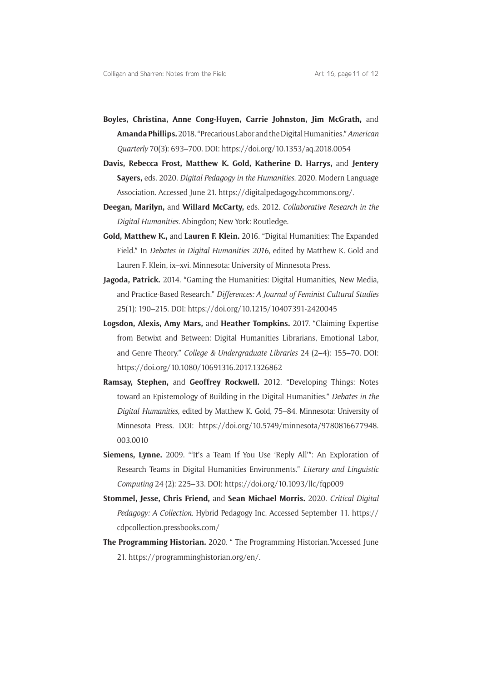- **Boyles, Christina, Anne Cong-Huyen, Carrie Johnston, Jim McGrath,** and **Amanda Phillips.** 2018. "Precarious Labor and the Digital Humanities." *American Quarterly* 70(3): 693–700. DOI: <https://doi.org/10.1353/aq.2018.0054>
- **Davis, Rebecca Frost, Matthew K. Gold, Katherine D. Harrys,** and **Jentery Sayers,** eds. 2020. *Digital Pedagogy in the Humanities*. 2020. Modern Language Association. Accessed June 21. [https://digitalpedagogy.hcommons.org/.](https://digitalpedagogy.hcommons.org/)
- **Deegan, Marilyn,** and **Willard McCarty,** eds. 2012. *Collaborative Research in the Digital Humanities*. Abingdon; New York: Routledge.
- **Gold, Matthew K.,** and **Lauren F. Klein.** 2016. "Digital Humanities: The Expanded Field." In *Debates in Digital Humanities 2016*, edited by Matthew K. Gold and Lauren F. Klein, ix–xvi. Minnesota: University of Minnesota Press.
- **Jagoda, Patrick.** 2014. "Gaming the Humanities: Digital Humanities, New Media, and Practice-Based Research." *Differences: A Journal of Feminist Cultural Studies* 25(1): 190–215. DOI: <https://doi.org/10.1215/10407391-2420045>
- **Logsdon, Alexis, Amy Mars,** and **Heather Tompkins.** 2017. "Claiming Expertise from Betwixt and Between: Digital Humanities Librarians, Emotional Labor, and Genre Theory." *College & Undergraduate Libraries* 24 (2–4): 155–70. DOI: <https://doi.org/10.1080/10691316.2017.1326862>
- **Ramsay, Stephen,** and **Geoffrey Rockwell.** 2012. "Developing Things: Notes toward an Epistemology of Building in the Digital Humanities." *Debates in the Digital Humanities*, edited by Matthew K. Gold, 75–84. Minnesota: University of Minnesota Press. DOI: [https://doi.org/10.5749/minnesota/9780816677948.](https://doi.org/10.5749/minnesota/9780816677948.003.0010) [003.0010](https://doi.org/10.5749/minnesota/9780816677948.003.0010)
- **Siemens, Lynne.** 2009. '"It's a Team If You Use 'Reply All'": An Exploration of Research Teams in Digital Humanities Environments." *Literary and Linguistic Computing* 24 (2): 225–33. DOI:<https://doi.org/10.1093/llc/fqp009>
- **Stommel, Jesse, Chris Friend,** and **Sean Michael Morris.** 2020. *Critical Digital Pedagogy: A Collection.* Hybrid Pedagogy Inc. Accessed September 11. [https://](https://cdpcollection.pressbooks.com/) [cdpcollection.pressbooks.com/](https://cdpcollection.pressbooks.com/)
- **The Programming Historian.** 2020. " The Programming Historian."Accessed June 21. [https://programminghistorian.org/en/.](https://programminghistorian.org/en/)